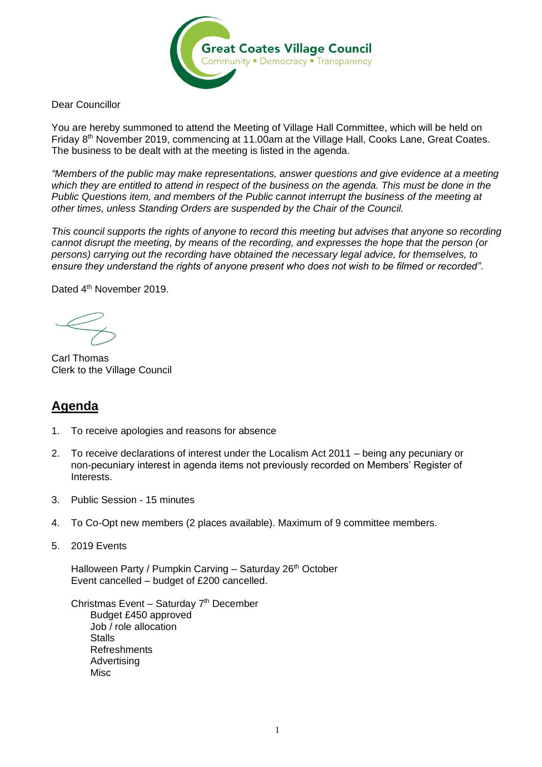

Dear Councillor

You are hereby summoned to attend the Meeting of Village Hall Committee, which will be held on Friday 8th November 2019, commencing at 11.00am at the Village Hall, Cooks Lane, Great Coates. The business to be dealt with at the meeting is listed in the agenda.

*"Members of the public may make representations, answer questions and give evidence at a meeting which they are entitled to attend in respect of the business on the agenda. This must be done in the Public Questions item, and members of the Public cannot interrupt the business of the meeting at other times, unless Standing Orders are suspended by the Chair of the Council.* 

*This council supports the rights of anyone to record this meeting but advises that anyone so recording cannot disrupt the meeting, by means of the recording, and expresses the hope that the person (or persons) carrying out the recording have obtained the necessary legal advice, for themselves, to ensure they understand the rights of anyone present who does not wish to be filmed or recorded".*

Dated 4<sup>th</sup> November 2019.

Carl Thomas Clerk to the Village Council

## **Agenda**

- 1. To receive apologies and reasons for absence
- 2. To receive declarations of interest under the Localism Act 2011 being any pecuniary or non-pecuniary interest in agenda items not previously recorded on Members' Register of Interests.
- 3. Public Session 15 minutes
- 4. To Co-Opt new members (2 places available). Maximum of 9 committee members.
- 5. 2019 Events

Halloween Party / Pumpkin Carving - Saturday 26<sup>th</sup> October Event cancelled – budget of £200 cancelled.

Christmas Event - Saturday 7<sup>th</sup> December Budget £450 approved Job / role allocation **Stalls Refreshments** Advertising **Misc**